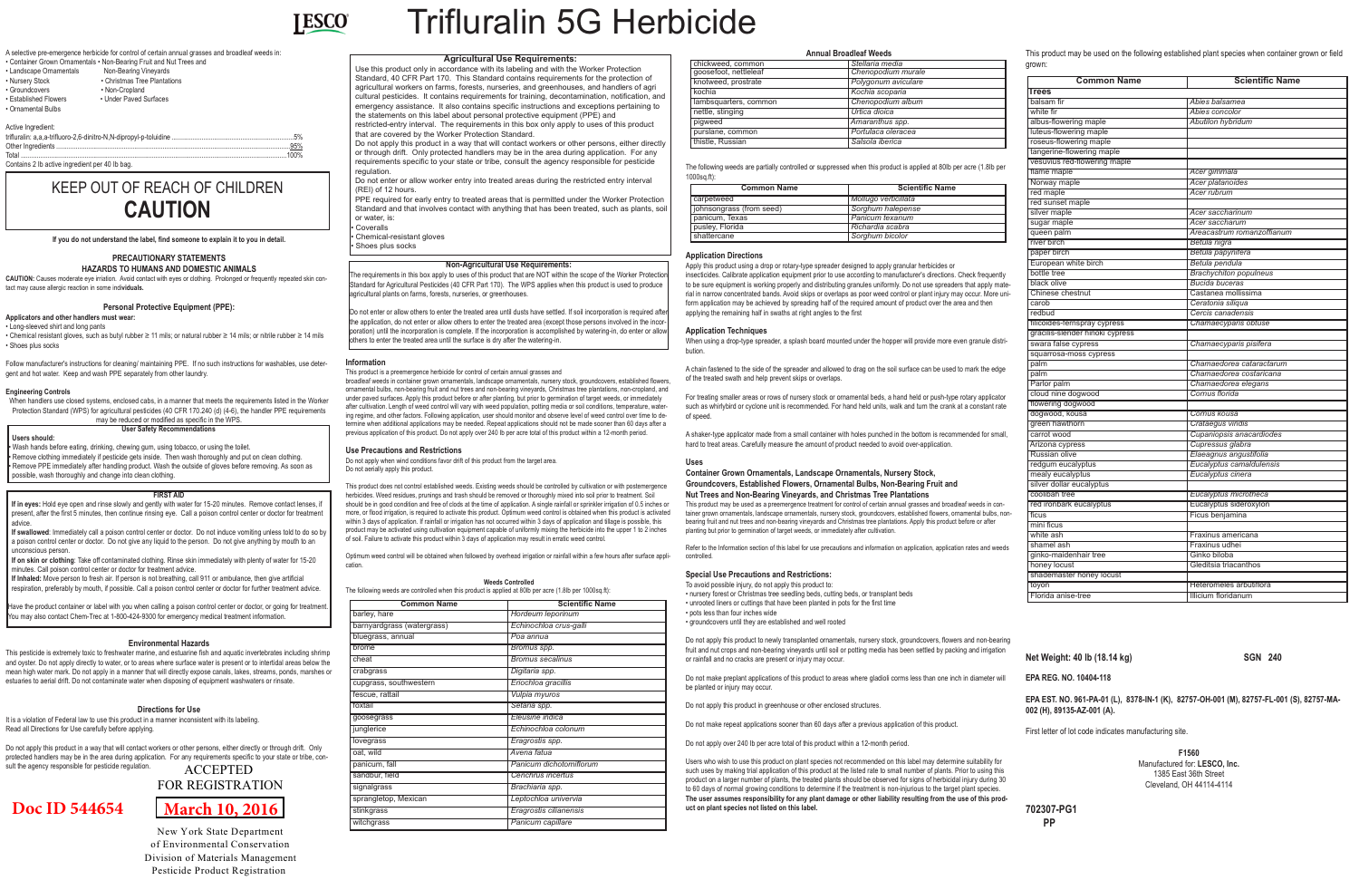

Trifluralin 5G Herbicide

A selective pre-emergence herbicide for control of certain annual grasses and broadleaf weeds in: mentals • Non-Bearing Fruit and Nut Trees and Non-Bearing Vineyards

> • Christmas Tree Plantations • Non-Cropland • Under Paved Surfaces

| סווומוווכו שוטשוו שווומווכ |
|----------------------------|
| Landscape Ornamentals      |
| <b>Nursery Stock</b>       |
| Groundcovers               |
| <b>Established Flowers</b> |

Active Ingredient: trifluralin: a,a,a-trifluoro-2,6-dinitro-N,N-dipropyl-p-toluidine .....................................................................5% Other Ingredients ....................................................................................................................................95%

## • Ornamental Bulbs

Total ......................................................................................................................................................100% Contains 2 Ib active ingredient per 40 Ib bag.

**If you do not understand the label, find someone to explain it to you in detail.**

## **PRECAUTIONARY STATEMENTS**

**HAZARDS TO HUMANS AND DOMESTIC ANIMALS CAUTION:** Causes moderate eye irriation. Avoid contact with eyes or clothing. Prolonged or frequently repeated skin contact may cause allergic reaction in some indi**viduals.**

#### **Personal Protective Equipment (PPE):**

#### **Applicators and other handlers must wear:**

• Long-sleeved shirt and long pants

• Chemical resistant gloves, such as butyl rubber ≥ 11 mils; or natural rubber ≥ 14 mils; or nitrile rubber ≥ 14 mils • Shoes plus socks

Follow manufacturer's instructions for cleaning/ maintaining PPE. If no such instructions for washables, use detergent and hot water. Keep and wash PPE separately from other laundry.

#### **Engineering Controls**

When handlers use closed systems, enclosed cabs, in a manner that meets the requirements listed in the Worker Protection Standard (WPS) for agricultural pesticides (40 CFR 170.240 (d) (4-6), the handler PPE requirements may be reduced or modified as specific in the WPS.

#### **Environmental Hazards**

This pesticide is extremely toxic to freshwater marine, and estuarine fish and aquatic invertebrates including shrimp and oyster. Do not apply directly to water, or to areas where surface water is present or to intertidal areas below the mean high water mark. Do not apply in a manner that will directly expose canals, lakes, streams, ponds, marshes or estuaries to aerial drift. Do not contaminate water when disposing of equipment washwaters or rinsate.

#### **Directions for Use**

It is a violation of Federal law to use this product in a manner inconsistent with its labeling. Read all Directions for Use carefully before applying.

Do not apply this product in a way that will contact workers or other persons, either directly or through drift. Only protected handlers may be in the area during application. For any requirements specific to your state or tribe, consult the agency responsible for pesticide regulation.

#### **Information**

This product is a preemergence herbicide for control of certain annual grasses and

When using a drop-type spreader, a splash board mounted under the hopper will provide more even granule distribution.

broadleaf weeds in container grown ornamentals, landscape ornamentals, nursery stock, groundcovers, established flowers, ornamental bulbs, non-bearing fruit and nut trees and non-bearing vineyards, Christmas tree plantations, non-cropland, and under paved surfaces. Apply this product before or after planting, but prior to germination of target weeds, or immediately after cultivation. Length of weed control will vary with weed population, potting media or soil conditions, temperature, watering regime, and other factors. Following application, user should monitor and observe level of weed control over time to determine when additional applications may be needed. Repeat applications should not be made sooner than 60 days after a previous application of this product. Do not apply over 240 Ib per acre total of this product within a 12-month period.

Do not apply when wind conditions favor drift of this product from the target area.

**Use Precautions and Restrictions** Do not aerially apply this product.

This product does not control established weeds. Existing weeds should be controlled by cultivation or with postemergence

Do not apply this product to newly transplanted ornamentals, nursery stock, groundcovers, flowers and non-bearing fruit and nut crops and non-bearing vineyards until soil or potting media has been settled by packing and irrigation or rainfall and no cracks are present or injury may occur.

herbicides. Weed residues, prunings and trash should be removed or thoroughly mixed into soil prior to treatment. Soil should be in good condition and free of clods at the time of application. A single rainfall or sprinkler irrigation of 0.5 inches or more, or flood irrigation, is required to activate this product. Optimum weed control is obtained when this product is activated within 3 days of application. If rainfall or irrigation has not occurred within 3 days of application and tillage is possible, this product may be activated using cultivation equipment capable of uniformly mixing the herbicide into the upper 1 to 2 inches of soil. Failure to activate this product within 3 days of application may result in erratic weed control.

Optimum weed control will be obtained when followed by overhead irrigation or rainfall within a few hours after surface appli-

cation.





#### **Weeds Controlled**

The following weeds are controlled when this product is applied at 80lb per acre (1.8lb per 1000sq.ft):

#### **Annual Broadleaf Weeds**

• Wash hands before eating, drinking, chewing gum, using tobacco, or using the toilet. Remove clothing immediately if pesticide gets inside. Then wash thoroughly and put on clean clothing.

Apply this product using a drop or rotary-type spreader designed to apply granular herbicides or insecticides. Calibrate application equipment prior to use according to manufacturer's directions. Check frequently to be sure equipment is working properly and distributing granules uniformly. Do not use spreaders that apply material in narrow concentrated bands. Avoid skips or overlaps as poor weed control or plant injury may occur. More uniform application may be achieved by spreading half of the required amount of product over the area and then applying the remaining half in swaths at right angles to the first

Do not enter or allow others to enter the treated area until dusts have settled. If soil incorporation is required after the application, do not enter or allow others to enter the treated area (except those persons involved in the incorporation) until the incorporation is complete. If the incorporation is accomplished by watering-in, do enter or allow thers to enter the treated area until the surface is dry after the watering-in.

#### **Application Techniques**

A chain fastened to the side of the spreader and allowed to drag on the soil surface can be used to mark the edge of the treated swath and help prevent skips or overlaps.

For treating smaller areas or rows of nursery stock or ornamental beds, a hand held or push-type rotary applicator such as whirlybird or cyclone unit is recommended. For hand held units, walk and turn the crank at a constant rate of speed.

PPE required for early entry to treated areas that is permitted under the Worker Protection Standard and that involves contact with anything that has been treated, such as plants, soil or water, is: Coveralls

Chemical-resistant gloves Shoes plus socks

> A shaker-type applicator made from a small container with holes punched in the bottom is recommended for small, hard to treat areas. Carefully measure the amount of product needed to avoid over-application.

#### **Uses**

#### **Container Grown Ornamentals, Landscape Ornamentals, Nursery Stock, Groundcovers, Established Flowers, Ornamental Bulbs, Non-Bearing Fruit and Nut Trees and Non-Bearing Vineyards, and Christmas Tree Plantations**

This product may be used as a preemergence treatment for control of certain annual grasses and broadleaf weeds in container grown ornamentals, landscape ornamentals, nursery stock, groundcovers, established flowers, ornamental bulbs, nonbearing fruit and nut trees and non-bearing vineyards and Christmas tree plantations. Apply this product before or after planting but prior to germination of target weeds, or immediately after cultivation.

Refer to the Information section of this label for use precautions and information on application, application rates and weeds controlled.

#### **Special Use Precautions and Restrictions:**

redbud *Cercis canadensis* filicoides-fernspray cypress *Chamaecyparis obtuse* gracilis-slender hinoki cypress swara false cypress *Chamaecyparis pisifera* squarrosa-moss cypress palm *Chamaedorea cataractarum* palm *Chamaedorea costaricana* Parlor palm *Chamaedorea elegans* cloud nine dogwood *Cornus florida* flowering dogwood dogwood, kousa *Cornus kousa* **Crataegus viridis** carrot wood *Cupaniopsis anacardiodes* Arizona cypress *Cupressus glabra* Russian olive *Elaeagnus angustifolia* redgum eucalyptus *Eucalyptus camaldulensis* mealy eucalyptus *Eucalyptus cinera* silver dollar eucalyptus coolibah tree *Eucalyptus microtheca* red ironbark eucalyptus **Eucalyptus** Eucalyptus sideroxylon ficus **Ficus** benjamina mini ficus white ash **Fraxinus** americana shamel ash **Fraxinus** udhei ginko-maidenhair tree Ginko biloba honey locust Gleditsia triacanthos

To avoid possible injury, do not apply this product to: • nursery forest or Christmas tree seedling beds, cutting beds, or transplant beds • unrooted liners or cuttings that have been planted in pots for the first time • pots less than four inches wide • groundcovers until they are established and well rooted

toyon Heteromeles arbutiflora Florida anise-tree **Illicium floridanum** 

Do not make preplant applications of this product to areas where gladioli corms less than one inch in diameter will be planted or injury may occur.

Do not apply this product in greenhouse or other enclosed structures.

Do not make repeat applications sooner than 60 days after a previous application of this product.

Do not apply over 240 Ib per acre total of this product within a 12-month period.

Users who wish to use this product on plant species not recommended on this label may determine suitability for such uses by making trial application of this product at the listed rate to small number of plants. Prior to using this product on a larger number of plants, the treated plants should be observed for signs of herbicidal injury during 30 to 60 days of normal growing conditions to determine if the treatment is non-injurious to the target plant species. **The user assumes responsibility for any plant damage or other liability resulting from the use of this product on plant species not listed on this label.**

This product may be used on the following established plant species when container grown or field

**Brachychiton populneus** 

Castanea mollissima

**Net Weight: 40 lb (18.14 kg)** SGN 240

**EPA REG. NO. 10404-118**

**EPA EST. NO. 961-PA-01 (L), 8378-IN-1 (K), 82757-OH-001 (M), 82757-FL-001 (S), 82757-MA-002 (H), 89135-AZ-001 (A).**

First letter of lot code indicates manufacturing site.

**F1560** Manufactured for: **LESCO, Inc.** 1385 East 36th Street Cleveland, OH 44114-4114

**702307-PG1 PP**

#### **FIRST AID**

**If in eyes:** Hold eye open and rinse slowly and gently with water for 15-20 minutes. Remove contact lenses, if present, after the first 5 minutes, then continue rinsing eye. Call a poison control center or doctor for treatment advice.

**If swallowed**: Immediately call a poison control center or doctor. Do not induce vomiting unless told to do so by a poison control center or doctor. Do not give any liquid to the person. Do not give anything by mouth to an unconscious person.

The following weeds are partially controlled or suppressed when this product is applied at 80Ib per acre (1.8Ib per 1000sq.ft): **Application Directions** grown: **Common Name Scientific Name** carpetweed *Mollugo verticillata* johnsongrass (from seed) *Sorghum halepense* panicum, Texas *Panicum texanum* pusley, Florida *Richardia scabra* shattercane **Source Account 1 Source Source Account 1 Sorghum bicolor Common Name Scientific Name Trees** balsam fir *Abies balsamea* white fir<br>
albus-flowering maple<br> **Abutilon** hybridum<br> **Abutilon** hybridum albus-flowering maple luteus-flowering maple roseus-flowering maple angerine-flowering maple vesuvius red-flowering maple flame maple *Acer gimmala* **Norway** maple **red maple Acer rubrum Acer rubrum** red sunset maple Acer saccharinum sugar maple **Acer saccharum Acer saccharum** queen palm *Areacastrum romanzoffianum* river birch *Betula nigra* paper birch *Betula papynifera* European white birch *Betula pendula*

| <b>Common Name</b>        | <b>Scientific Name</b> |
|---------------------------|------------------------|
| carpetweed                | Mollugo verticillata   |
| (iohnsongrass (from seed) | Sorghum halepense      |
| panicum, Texas            | Panicum texanum        |
| pusley, Florida           | Richardia scabra       |
| shattercane               | Sorghum bicolor        |

**If on skin or clothing**: Take off contaminated clothing. Rinse skin immediately with plenty of water for 15-20 minutes. Call poison control center or doctor for treatment advice.

**If Inhaled:** Move person to fresh air. If person is not breathing, call 911 or ambulance, then give artificial respiration, preferably by mouth, if possible. Call a poison control center or doctor for further treatment advice.

Have the product container or label with you when calling a poison control center or doctor, or going for treatment. You may also contact Chem-Trec at 1-800-424-9300 for emergency medical treatment information.

# KEEP OUT OF REACH OF CHILDREN **CAUTION**

#### **User Safety Recommendations**

**Users should:**

• Remove PPE immediately after handling product. Wash the outside of gloves before removing. As soon as possible, wash thoroughly and change into clean clothing.

#### **Non-Agricultural Use Requirements:**

he requirements in this box apply to uses of this product that are NOT within the scope of the Worker Protectio tandard for Agricultural Pesticides (40 CFR Part 170). The WPS applies when this product is used to produce aricultural plants on farms, forests, nurseries, or greenhouses,

#### **Agricultural Use Requirements:**

Use this product only in accordance with its labeling and with the Worker Protection Standard, 40 CFR Part 170. This Standard contains requirements for the protection of agricultural workers on farms, forests, nurseries, and greenhouses, and handlers of agri cultural pesticides. It contains requirements for training, decontamination, notification, and emergency assistance. It also contains specific instructions and exceptions pertaining to the statements on this label about personal protective equipment (PPE) and restricted-entry interval. The requirements in this box only apply to uses of this product

that are covered by the Worker Protection Standard. Do not apply this product in a way that will contact workers or other persons, either directly or through drift. Only protected handlers may be in the area during application. For any requirements specific to your state or tribe, consult the agency responsible for pesticide regulation.

Do not enter or allow worker entry into treated areas during the restricted entry interval (REI) of 12 hours.

| <b>Common Name</b>         | <b>Scientific Name</b>  |
|----------------------------|-------------------------|
| barley, hare               | Hordeum leporinum       |
| barnyardgrass (watergrass) | Echinochloa crus-galli  |
| bluegrass, annual          | Poa annua               |
| brome                      | Bromus spp.             |
| cheat                      | <b>Bromus secalinus</b> |
| crabgrass                  | Digitaria spp.          |
| cupgrass, southwestern     | Eriochloa gracillis     |
| fescue, rattail            | Vulpia myuros           |
| foxtail                    | Setaria spp.            |
| goosegrass                 | Eleusine indica         |
| junglerice                 | Echinochloa colonum     |
| lovegrass                  | Eragrostis spp.         |
| oat, wild                  | Avena fatua             |
| panicum, fall              | Panicum dichotomiflorum |
| sandbur, field             | Cenchrus incertus       |
| signalgrass                | Brachiaria spp.         |
| sprangletop, Mexican       | Leptochloa univervia    |
| stinkgrass                 | Eragrostis cilianensis  |
| witchgrass                 | Panicum capillare       |

| chickweed, common     | Stellaria media     |
|-----------------------|---------------------|
| goosefoot, nettleleaf | Chenopodium murale  |
| knotweed, prostrate   | Polygonum aviculare |
| kochia                | Kochia scoparia     |
| lambsquarters, common | Chenopodium album   |
| nettle, stinging      | Urtica dioica       |
| piqweed               | Amaranthus spp.     |
| purslane, common      | Portulaca oleracea  |
| thistle, Russian      | Salsola iberica     |

black olive *Bucida buceras*

carob *Ceratonia siliqua*

shademaster honey locust



ACCEPTED FOR REGISTRATION

New York State Department of Environmental Conservation Division of Materials Management Pesticide Product Registration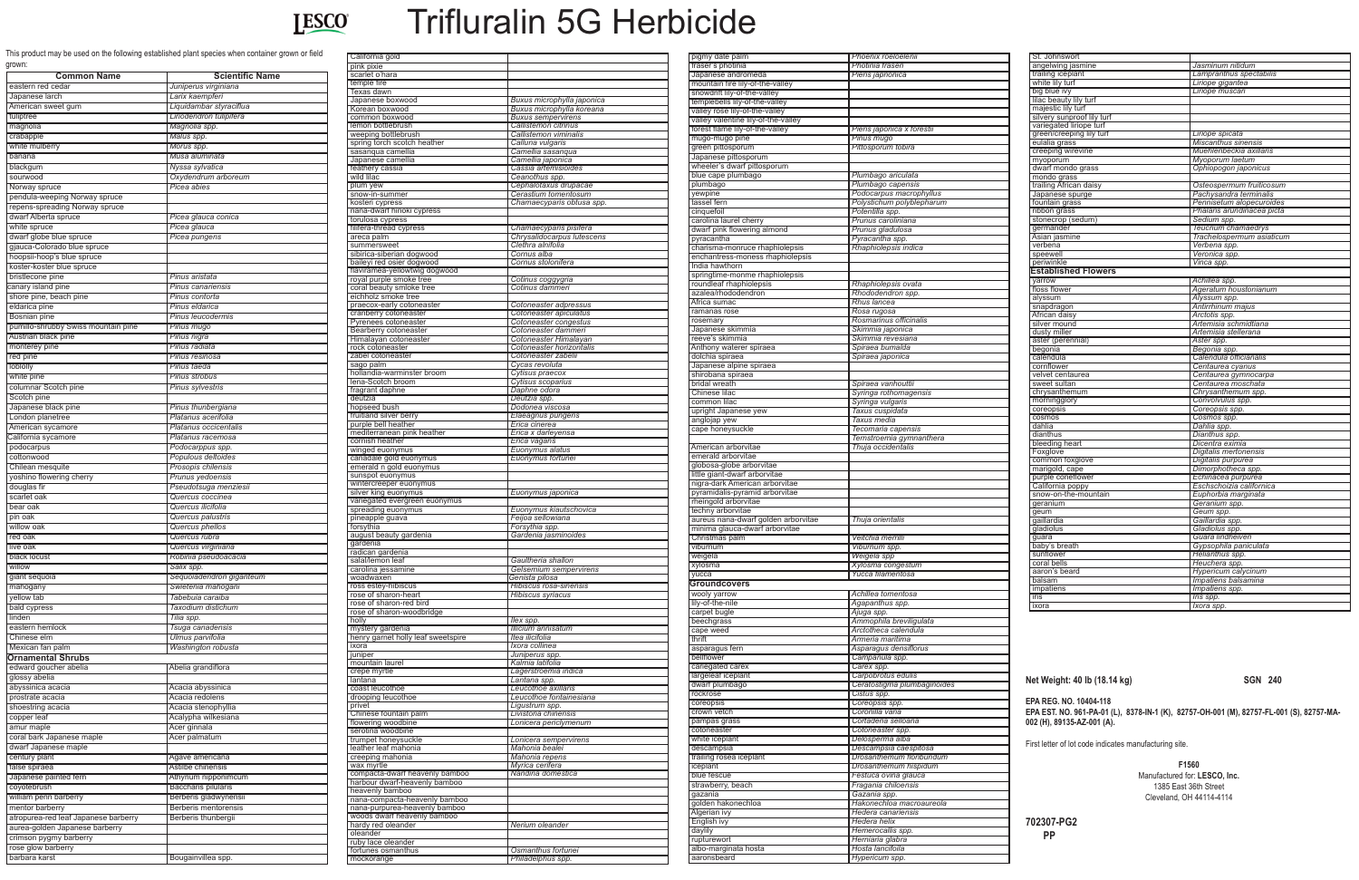

# Trifluralin 5G Herbicide

This product may be used on the following established plant species when container grown or field grown:

**Net Weight: 40 lb (18.14 kg) SGN 240**

**EPA REG. NO. 10404-118 EPA EST. NO. 961-PA-01 (L), 8378-IN-1 (K), 82757-OH-001 (M), 82757-FL-001 (S), 82757-MA-002 (H), 89135-AZ-001 (A).**

First letter of lot code indicates manufacturing site.

**F1560** Manufactured for: **LESCO, Inc.** 1385 East 36th Street Cleveland, OH 44114-4114

**702307-PG2 PP**

| grown.<br><b>Common Name</b>                              | <b>Scientific Name</b>                              |
|-----------------------------------------------------------|-----------------------------------------------------|
| eastern red cedar                                         | Juniperus virginiana                                |
| Japanese larch<br>American sweet gum                      | Larix kaempferi<br>Liquidambar styraciflua          |
| tuliptree                                                 | Liriodendron tulipifera                             |
| magnolia                                                  | Magnolia spp.                                       |
| crabapple                                                 | Malus spp.                                          |
| white mulberry                                            | Morus spp.                                          |
| banana                                                    | Musa aluminata                                      |
| blackgum                                                  | Nyssa sylvatica                                     |
| sourwood<br>Norway spruce                                 | Oxydendrum arboreum<br>Picea abies                  |
| pendula-weeping Norway spruce                             |                                                     |
| repens-spreading Norway spruce                            |                                                     |
| dwarf Alberta spruce                                      | Picea glauca conica                                 |
| white spruce                                              | Picea glauca                                        |
| dwarf globe blue spruce                                   | Picea pungens                                       |
| gjauca-Colorado blue spruce<br>hoopsii-hoop's blue spruce |                                                     |
| koster-koster blue spruce                                 |                                                     |
| bristlecone pine                                          | Pinus aristata                                      |
| canary island pine                                        | <b>Pinus canariensis</b>                            |
| shore pine, beach pine                                    | Pinus contorta                                      |
| eldarica pine<br><b>Bosnian pine</b>                      | Pinus eldarica                                      |
| pumillo-shrubby Swiss mountain pine                       | Pinus leucodermis<br>Pinus mugo                     |
| Austrian black pine                                       | Pinus nigra                                         |
| monterey pine                                             | Pinus radiata                                       |
| red pine                                                  | Pinus resinosa                                      |
| loblolly                                                  | Pinus taeda                                         |
| white pine<br>columnar Scotch pine                        | <b>Pinus strobus</b><br><b>Pinus sylvestris</b>     |
| Scotch pine                                               |                                                     |
| Japanese black pine                                       | Pinus thunbergiana                                  |
| London planetree                                          | Platanus acerifolia                                 |
| American sycamore                                         | Platanus occicentalis                               |
| California sycamore<br>podocarpus                         | Platanus racemosa<br>Podocarppus spp.               |
| cottonwood                                                | Populous deltoides                                  |
| Chilean mesquite                                          | Prosopis chilensis                                  |
| yoshino flowering cherry                                  | <b>Prunus yedoensis</b>                             |
| douglas fir<br>scarlet oak                                | Pseudotsuga menziesii<br>Quercus coccinea           |
| bear oak                                                  | Quercus ilicifolia                                  |
| pin oak                                                   | Quercus palustris                                   |
| willow oak                                                | Quercus phellos                                     |
| red oak                                                   | Quercus rubra                                       |
| live oak<br>black locust                                  | Quercus virginiana<br>Robinia pseudoacacia          |
| willow                                                    | Salix spp.                                          |
| giant sequoia                                             | Sequoiadendron giganteum                            |
| mahogany                                                  | Swietenia mahogani                                  |
| yellow tab                                                | Tabebuia caraiba                                    |
| bald cypress<br>linden                                    | Taxodium distichum<br>Tilia spp.                    |
| eastern hemlock                                           | Tsuga canadensis                                    |
| Chinese elm                                               | Ulmus parvifolia                                    |
| Mexican fan palm                                          | Washington robusta                                  |
| Ornamental Shrubs                                         |                                                     |
| edward goucher abelia                                     | Abelia grandiflora                                  |
| glossy abelia<br>abyssinica acacia                        | Acacia abyssinica                                   |
| prostrate acacia                                          | Acacia redolens                                     |
| shoestring acacia                                         | Acacia stenophyllia                                 |
| copper leaf                                               | Acalypha wilkesiana                                 |
| amur maple                                                | Acer ginnala                                        |
| coral bark Japanese maple<br>dwarf Japanese maple         | Acer palmatum                                       |
| century plant                                             | Agave americana                                     |
| false spiraea                                             | Astilbe chinensis                                   |
| Japanese painted fern                                     | Athyrium nipponimcum                                |
| coyotebrush                                               | <b>Baccharis pilularis</b><br>Berberis gladwynensii |
| william penn barberry<br>mentor barberry                  | Berberis mentorensis                                |
| atropurea-red leaf Japanese barberry                      | Berberis thunbergii                                 |
| aurea-golden Japanese barberry                            |                                                     |
| crimson pygmy barberry                                    |                                                     |
| rose glow barberry<br>barbara karst                       | Bougainvillea spp.                                  |
|                                                           |                                                     |

| California gold                                  |                                                      |
|--------------------------------------------------|------------------------------------------------------|
| pink pixie                                       |                                                      |
| scarlet o'hara                                   |                                                      |
| temple fire                                      |                                                      |
| Texas dawn                                       |                                                      |
| Japanese boxwood                                 | Buxus microphylla japonica                           |
| Korean boxwood                                   | Buxus microphylla koreana                            |
| common boxwood                                   | <b>Buxus sempervirens</b>                            |
| lemon bottlebrush                                | Callistemon citrinus<br><b>Callistemon viminalis</b> |
| weeping bottlebrush                              |                                                      |
| spring torch scotch heather<br>sasanqua camellia | Calluna vulgaris                                     |
|                                                  | Camellia sasanqua                                    |
| Japanese camellia                                | Camellia japonica<br>Cassia artemisioides            |
| feathery cassia<br>wild lilac                    |                                                      |
| plum yew                                         | Ceanothus spp.<br>Cephalotaxus drupacae              |
| snow-in-summer                                   | Cerastium tomentosum                                 |
| kosteri cypress                                  | Chamaecyparis obtusa spp.                            |
|                                                  |                                                      |
| nana-dwarf hinoki cypress<br>torulosa cypress    |                                                      |
| filifera-thread cypress                          | Chamaecyparis pisifera                               |
| areca palm                                       | Chrysalidocarpus lutescens                           |
| summersweet                                      | Clethra alnifolia                                    |
| sibirica-siberian dogwood                        | Cornus alba                                          |
| baileyi red osier dogwood                        | Cornus stolonifera                                   |
| flaviramea-yellowtwig dogwood                    |                                                      |
| royal purple smoke tree                          | Cotinus coggygria                                    |
| coral beauty smloke tree                         | Cotinus dammeri                                      |
| eichholz smoke tree                              |                                                      |
| praecox-early cotoneaster                        | Cotoneaster adpressus                                |
| cranberry cotoneaster                            | Cotoneaster apiculatus                               |
| Pyrenees cotoneaster                             | Cotoneaster congestus                                |
| Bearberry cotoneaster                            | Cotoneaster dammeri                                  |
| Himalayan cotoneaster                            | Cotoneaster Himalayan                                |
| rock cotoneaster                                 | Cotoneaster horizontalis                             |
| zabel cotoneaster                                | Cotoneaster zabelii                                  |
| sago palm                                        | Cycas revoluta                                       |
| hollandia-warminster broom                       | Cytisus praecox                                      |
| lena-Scotch broom                                | Cytisus scoparius                                    |
| fragrant daphne                                  | Daphne odora                                         |
| deutzia                                          | Deutzia spp.                                         |
| hopseed bush                                     | Dodonea viscosa                                      |
| fruitland silver berry                           | Elaeagnus pungens                                    |
| purple bell heather                              | Erica cinerea                                        |
| mediterranean pink heather                       | Erica x darleyensa                                   |
| cornish heather                                  | Erica vagans                                         |
| winged euonymus                                  | Euonymus alatus                                      |
| canadale gold euonymus                           | Euonymus fortunei                                    |
| emerald n gold euonymus                          |                                                      |
| sunspot euonymus                                 |                                                      |
| wintercreeper euonymus                           |                                                      |
| silver king euonymus                             | Euonymus japonica                                    |
| variegated evergreen euonymus                    |                                                      |
| spreading euonymus                               | Euonymus kiautschovica                               |
| pineapple guava                                  | Feijoa sellowiana                                    |
| forsythia                                        | Forsythia spp.                                       |
| august beauty gardenia                           | Gardenia jasminoides                                 |
| gardenia                                         |                                                      |
| radican gardenia                                 |                                                      |
| salal/lemon leaf                                 | Gaultheria shallon                                   |
| carolina jessamine                               | Gelsemium sempervirens                               |
| woadwaxen                                        | Genista pilosa                                       |
| ross estey-hibiscus                              | Hibiscus rosa-sinensis                               |
| rose of sharon-heart                             | <b>Hibiscus syriacus</b>                             |
| rose of sharon-red bird                          |                                                      |
| rose of sharon-woodbridge                        |                                                      |
| holly                                            | llex spp.                                            |
| mystery gardenia                                 | Illicium annisatum                                   |
| henry garnet holly leaf sweetspire               | Itea ilicifolia                                      |
| ixora                                            | Ixora collinea                                       |
| juniper                                          | Juniperus spp.                                       |
| mountain laurel                                  | Kalmia latifolia                                     |
| crepe myrtle<br>lantana                          | Lagerstroemia indica<br>Lantana spp.                 |
|                                                  |                                                      |
| coast leucothoe<br>drooping leucothoe            | Leucothoe axillaris<br>Leucothoe fontainesiana       |
| privet                                           | Ligustrum spp.                                       |
| Chinese fountain palm                            | Livistona chinensis                                  |
| flowering woodbine                               | Lonicera periclymenum                                |
| serotina woodbine                                |                                                      |
| trumpet honeysuckle                              | Lonicera sempervirens                                |
| leather leaf mahonia                             | Mahonia bealei                                       |
| creeping mahonia                                 | Mahonia repens                                       |
| wax myrtle                                       | Myrica cerifera                                      |
|                                                  |                                                      |
|                                                  |                                                      |
| compacta-dwarf heavenly bamboo                   | Nandina domestica                                    |
| harbour dwarf-heavenly bamboo                    |                                                      |
| heavenly bamboo                                  |                                                      |
| nana-compacta-heavenly bamboo                    |                                                      |
| nana-purpurea-heavenly bamboo                    |                                                      |
| woods dwarf heavenly bamboo                      | Nerium oleander                                      |
| hardy red oleander<br>oleander                   |                                                      |
| ruby lace oleander                               |                                                      |
| fortunes osmanthus                               | Osmanthus fortunei<br>Philadelphus spp.              |

| pigmy date palm                                                 | Phoenix roeloelenii                |
|-----------------------------------------------------------------|------------------------------------|
| fraser's photinia                                               | Photinia fraseri                   |
| Japanese andromeda                                              | Pieris japnonica                   |
| mountain fire lily-of-the-valley                                |                                    |
| snowdrift lily-of-the-valley<br>templebells lily-of-the-valley  |                                    |
| valley rose lily-of-the-valley                                  |                                    |
| valley valentine lily-of-the-valley                             |                                    |
| forest flame lily-of-the-valley                                 | Pieris japonica x forestii         |
| mugo-mugo pine                                                  | Pinus mugo                         |
| green pittosporum                                               | Pittosporum tobira                 |
| Japanese pittosporum                                            |                                    |
| wheeler's dwarf pittosporum                                     |                                    |
| blue cape plumbago                                              | Plumbago ariculata                 |
| plumbago                                                        | Plumbago capensis                  |
| vewpine                                                         | Podocarpus macrophyllus            |
| tassel fern                                                     | Polystichum polyblepharum          |
| cinquefoil                                                      | Potentilla spp.                    |
| carolina laurel cherry                                          | Prunus caroliniana                 |
| dwarf pink flowering almond                                     | Prunus gladulosa                   |
| pyracantha                                                      | Pyracantha spp.                    |
| charisma-monruce rhaphiolepsis                                  | Rhaphiolepsis indica               |
| enchantress-moness rhaphiolepsis                                |                                    |
| India hawthorn                                                  |                                    |
| springtime-monme rhaphiolepsis                                  |                                    |
| roundleaf rhaphiolepsis                                         | Rhaphiolepsis ovata                |
| azalea/rhododendron                                             | Rhododendron spp.                  |
| Africa sumac                                                    | <b>Rhus lancea</b>                 |
| ramanas rose                                                    | Rosa rugosa                        |
| rosemary                                                        | Rosmarinus officinalis             |
| Japanese skimmia                                                | Skimmia japonica                   |
| reeve's skimmia                                                 | Skimmia revesiana                  |
| Anthony waterer spiraea                                         | Spiraea bumalda                    |
| dolchia spiraea<br>Japanese alpine spiraea                      | Spiraea japonica                   |
| shirobana spiraea                                               |                                    |
| bridal wreath                                                   | Spiraea vanhouttii                 |
| Chinese lilac                                                   | Syringa rothomagensis              |
| common lilac                                                    | Syringa vulgaris                   |
| upright Japanese yew                                            | Taxus cuspidata                    |
| anglojap yew                                                    | Taxus media                        |
| cape honeysuckle                                                | Tecomaria capensis                 |
|                                                                 | Ternstroemia gymnanthera           |
|                                                                 | Thuja occidentalis                 |
|                                                                 |                                    |
| American arborvitae<br>emerald arborvitae                       |                                    |
|                                                                 |                                    |
| globosa-globe arborvitae                                        |                                    |
| little giant-dwarf arborvitae<br>nigra-dark American arborvitae |                                    |
| pyramidalis-pyramid arborvitae                                  |                                    |
| rheingold arborvitae                                            |                                    |
| techny arborvitae                                               |                                    |
| aureus nana-dwarf golden arborvitae                             | Thuja orientalis                   |
| minima glauca-dwarf arborvitae                                  |                                    |
| Christmas palm                                                  | Veitchia merrilli                  |
| viburnum                                                        | Viburnum spp.                      |
| weigela                                                         | Weigela spp                        |
| xylosma                                                         | Xylosma congestum                  |
| yucca                                                           | Yucca filamentosa                  |
| Groundcovers                                                    |                                    |
| wooly yarrow                                                    | Achillea tomentosa                 |
| lily-of-the-nile                                                | Agapanthus spp.                    |
| carpet bugle                                                    | Ajuga spp.                         |
| beechgrass                                                      | Ammophila breviliqulata            |
| cape weed                                                       | Arctotheca calendula               |
| thrift                                                          | Armeria maritima                   |
| asparagus fern                                                  | Asparagus densiflorus              |
| bellflower                                                      | Campanula spp.                     |
| cariegated carex                                                | Carex spp.                         |
| largeleaf iceplant                                              | Carpobrotus edulis                 |
| dwarf plumbago                                                  | Ceratostigma plumbaginoides        |
| rockrose                                                        | Cistus spp.                        |
| coreopsis                                                       | Coreopsis spp.<br>Coronilla vana   |
| crown vetch<br>pampas grass                                     | Cortaderia selloana                |
| cotoneaster                                                     | Cotoneaster spp.                   |
| white iceplant                                                  | Delosperma alba                    |
| descampsia                                                      | Descampsia caespitosa              |
| trailing rosea iceplant                                         | Drosanthemum floribundum           |
| iceplant                                                        | Drosanthemum hispidum              |
| blue fescue                                                     | Festuca ovina glauca               |
| strawberry, beach                                               | Fragania chiloensis                |
| gazania                                                         | Gazania spp.                       |
| golden hakonechloa                                              | Hakonechloa macroaureola           |
| Algerian ivy                                                    | <b>Hedera canariensis</b>          |
| English ivy                                                     | Hedera helix                       |
| daylily                                                         | Hemerocallis spp.                  |
| rupturewort                                                     | Herniaria glabra                   |
| albo-marginata hosta<br>aaronsbeard                             | Hosta lancifoila<br>Hypericum spp. |

| St. Johnswort              |                            |
|----------------------------|----------------------------|
| angelwing jasmine          | Jasminum nitidum           |
| trailing iceplant          | Lampranthus spectabilis    |
| white lily turf            | Liriope gigantea           |
| big blue ivy               | Liriope muscari            |
| lilac beauty lily turf     |                            |
| majestic lily turf         |                            |
| silvery sunproof lily turf |                            |
| variegated liriope turf    |                            |
| green/creeping lily turf   | Liriope spicata            |
| eulalia grass              | <b>Miscanthus sinensis</b> |
| creeping wirevine          | Muehlenbeckia axillaris    |
| myoporum                   | Myoporum laetum            |
| dwarf mondo grass          | Ophiopogon japonicus       |
| mondo grass                |                            |
| trailing African daisy     | Osteospermum fruiticosum   |
| Japanese spurge            | Pachysandra terminalis     |
| fountain grass             | Pennisetum alopecuroides   |
| ribbon grass               | Phalaris arundinacea picta |
| stonecrop (sedum)          | Sedium spp.                |
| germander                  | Teucrium chamaedrys        |
| Asian jasmine              | Trachelospermum asiaticum  |
| verbena                    | Verbena spp.               |
| speewell                   | Veronica spp.              |
| periwinkle                 | Vinca spp.                 |
| <b>Established Flowers</b> |                            |
| varrow                     | Achillea spp.              |
| floss flower               | Ageratum houstonianum      |
| alyssum                    | Alyssum spp.               |
| snapdragon                 | Antirrhinum majus          |
| African daisy              | Arctotis spp.              |
| silver mound               | Artemisia schmidtiana      |
| dusty miller               | Artemisia stellerana       |
| aster (perennial)          | Aster spp.                 |
| begonia                    | Begonia spp.               |
| calendula                  | Calendula officianalis     |
| cornflower                 | Centaurea cyanus           |
| velvet centaurea           | Centaurea gymnocarpa       |
| sweet sultan               | Centaurea moschata         |
| chrysanthemum              | Chrysanthemum spp.         |
| morningglory               | Convolvulus spp.           |
| coreopsis                  | Coreopsis spp.             |
| cosmos                     | Cosmos spp.                |
| dahlia                     | Dahlia spp.                |
| dianthus                   | Dianthus spp.              |
| bleeding heart             | Dicentra eximia            |
| Foxglove                   | Digitalis mertonensis      |
| common foxglove            | Digitalis purpurea         |
| marigold, cape             | Dimorphotheca spp.         |
| purple coneflower          | Echinacea purpurea         |
| California poppy           | Eschschoizia californica   |
| snow-on-the-mountain       | Euphorbia marginata        |
| geranium                   | Geranium spp.              |
| geum                       | Geum spp.                  |
| gaillardia                 | Gaillardia spp.            |
| gladiolus                  | Gladiolus spp.             |
| quara                      | Guara lindheiveri          |
| baby's breath              | Gypsophila paniculata      |
| sunflower                  | Helianthus spp.            |
| coral bells                | Heuchera spp.              |
| aaron's beard              | Hypericum calycinum        |
|                            | Impatiens balsamina        |
| balsam                     |                            |
| impatiens                  | Impatiens spp.             |
| iris<br>ixora              | Iris spp.<br>Ixora spp.    |